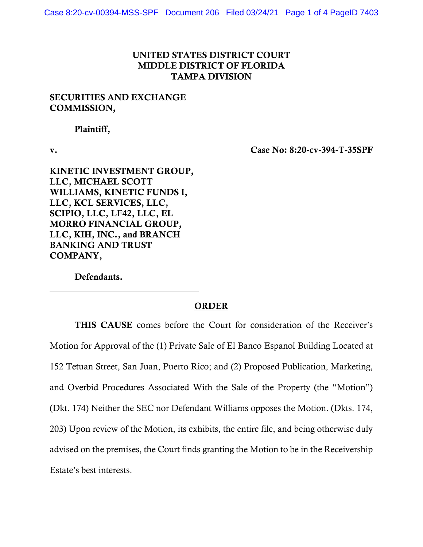## UNITED STATES DISTRICT COURT MIDDLE DISTRICT OF FLORIDA TAMPA DIVISION

## SECURITIES AND EXCHANGE COMMISSION,

Plaintiff,

v. Case No: 8:20-cv-394-T-35SPF

KINETIC INVESTMENT GROUP, LLC, MICHAEL SCOTT WILLIAMS, KINETIC FUNDS I, LLC, KCL SERVICES, LLC, SCIPIO, LLC, LF42, LLC, EL MORRO FINANCIAL GROUP, LLC, KIH, INC., and BRANCH BANKING AND TRUST COMPANY,

Defendants.

## ORDER

THIS CAUSE comes before the Court for consideration of the Receiver's Motion for Approval of the (1) Private Sale of El Banco Espanol Building Located at 152 Tetuan Street, San Juan, Puerto Rico; and (2) Proposed Publication, Marketing, and Overbid Procedures Associated With the Sale of the Property (the "Motion") (Dkt. 174) Neither the SEC nor Defendant Williams opposes the Motion. (Dkts. 174, 203) Upon review of the Motion, its exhibits, the entire file, and being otherwise duly advised on the premises, the Court finds granting the Motion to be in the Receivership Estate's best interests.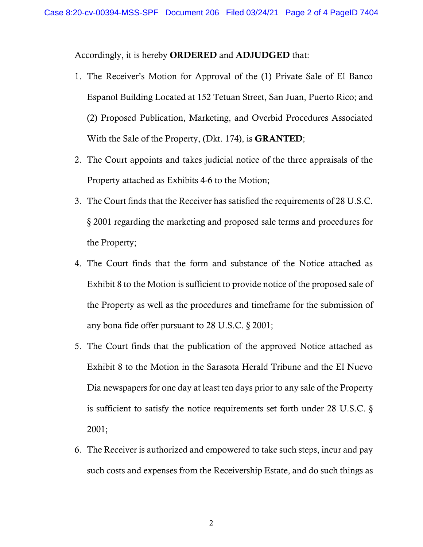Accordingly, it is hereby ORDERED and ADJUDGED that:

- 1. The Receiver's Motion for Approval of the (1) Private Sale of El Banco Espanol Building Located at 152 Tetuan Street, San Juan, Puerto Rico; and (2) Proposed Publication, Marketing, and Overbid Procedures Associated With the Sale of the Property, (Dkt. 174), is GRANTED;
- 2. The Court appoints and takes judicial notice of the three appraisals of the Property attached as Exhibits 4-6 to the Motion;
- 3. The Court finds that the Receiver has satisfied the requirements of 28 U.S.C. § 2001 regarding the marketing and proposed sale terms and procedures for the Property;
- 4. The Court finds that the form and substance of the Notice attached as Exhibit 8 to the Motion is sufficient to provide notice of the proposed sale of the Property as well as the procedures and timeframe for the submission of any bona fide offer pursuant to 28 U.S.C. § 2001;
- 5. The Court finds that the publication of the approved Notice attached as Exhibit 8 to the Motion in the Sarasota Herald Tribune and the El Nuevo Dia newspapers for one day at least ten days prior to any sale of the Property is sufficient to satisfy the notice requirements set forth under 28 U.S.C. § 2001;
- 6. The Receiver is authorized and empowered to take such steps, incur and pay such costs and expenses from the Receivership Estate, and do such things as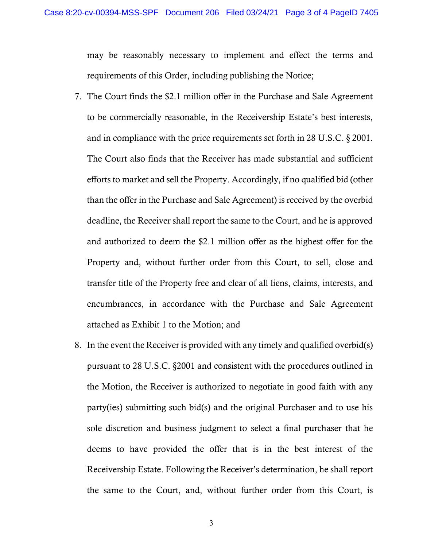may be reasonably necessary to implement and effect the terms and requirements of this Order, including publishing the Notice;

- 7. The Court finds the \$2.1 million offer in the Purchase and Sale Agreement to be commercially reasonable, in the Receivership Estate's best interests, and in compliance with the price requirements set forth in 28 U.S.C. § 2001. The Court also finds that the Receiver has made substantial and sufficient efforts to market and sell the Property. Accordingly, if no qualified bid (other than the offer in the Purchase and Sale Agreement) is received by the overbid deadline, the Receiver shall report the same to the Court, and he is approved and authorized to deem the \$2.1 million offer as the highest offer for the Property and, without further order from this Court, to sell, close and transfer title of the Property free and clear of all liens, claims, interests, and encumbrances, in accordance with the Purchase and Sale Agreement attached as Exhibit 1 to the Motion; and
- 8. In the event the Receiver is provided with any timely and qualified overbid(s) pursuant to 28 U.S.C. §2001 and consistent with the procedures outlined in the Motion, the Receiver is authorized to negotiate in good faith with any party(ies) submitting such bid(s) and the original Purchaser and to use his sole discretion and business judgment to select a final purchaser that he deems to have provided the offer that is in the best interest of the Receivership Estate. Following the Receiver's determination, he shall report the same to the Court, and, without further order from this Court, is